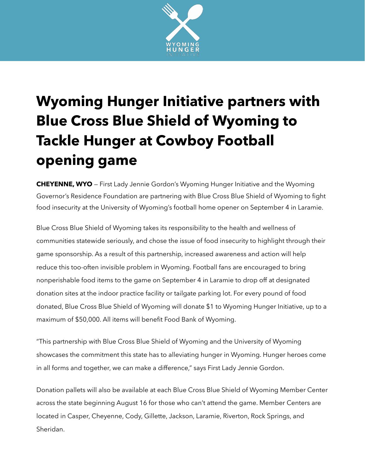

## **Wyoming Hunger Initiative partners with Blue Cross Blue Shield of Wyoming to Tackle Hunger at Cowboy Football opening game**

**CHEYENNE, WYO** — First Lady Jennie Gordon's Wyoming Hunger Initiative and the Wyoming Governor's Residence Foundation are partnering with Blue Cross Blue Shield of Wyoming to fight food insecurity at the University of Wyoming's football home opener on September 4 in Laramie.

Blue Cross Blue Shield of Wyoming takes its responsibility to the health and wellness of communities statewide seriously, and chose the issue of food insecurity to highlight through their game sponsorship. As a result of this partnership, increased awareness and action will help reduce this too-often invisible problem in Wyoming. Football fans are encouraged to bring nonperishable food items to the game on September 4 in Laramie to drop off at designated donation sites at the indoor practice facility or tailgate parking lot. For every pound of food donated, Blue Cross Blue Shield of Wyoming will donate \$1 to Wyoming Hunger Initiative, up to a maximum of \$50,000. All items will benefit Food Bank of Wyoming.

"This partnership with Blue Cross Blue Shield of Wyoming and the University of Wyoming showcases the commitment this state has to alleviating hunger in Wyoming. Hunger heroes come in all forms and together, we can make a difference," says First Lady Jennie Gordon.

Donation pallets will also be available at each Blue Cross Blue Shield of Wyoming Member Center across the state beginning August 16 for those who can't attend the game. Member Centers are located in Casper, Cheyenne, Cody, Gillette, Jackson, Laramie, Riverton, Rock Springs, and Sheridan.